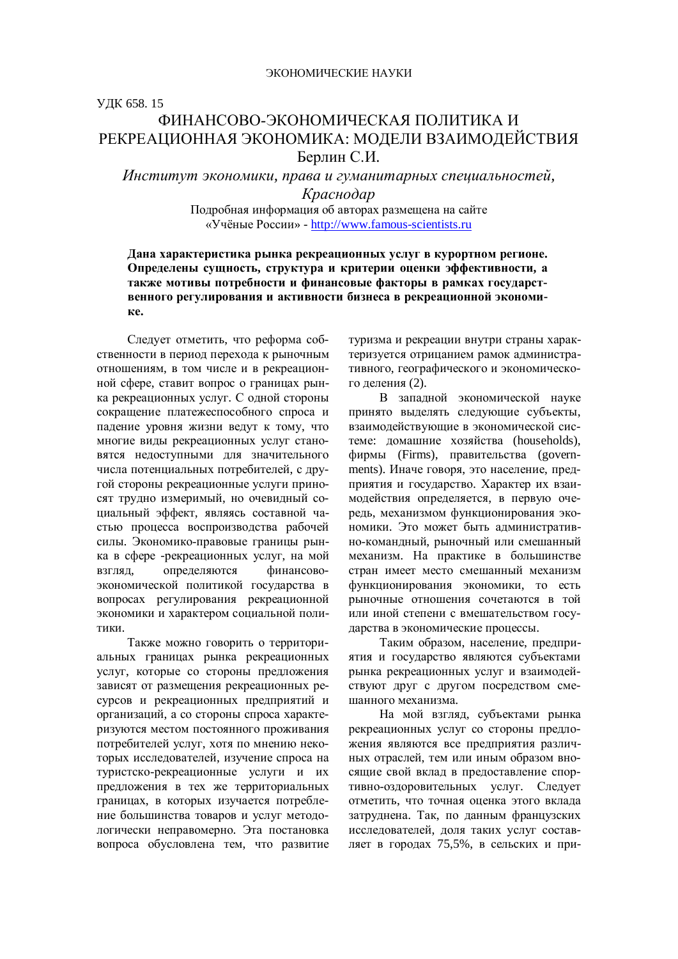ɍȾɄ 658. 15

# ФИНАНСОВО-ЭКОНОМИЧЕСКАЯ ПОЛИТИКА И РЕКРЕАЦИОННАЯ ЭКОНОМИКА: МОДЕЛИ ВЗАИМОДЕЙСТВИЯ Берлин С.И.

Институт экономики, права и гуманитарных специальностей, K<sub>pa</sub>c<sub>Ho</sub> $\partial$ ap

> Подробная информация об авторах размещена на сайте «Учёные России» - http://www.famous-scientists.ru

**Ⱦɚɧɚɯɚɪɚɤɬɟɪɢɫɬɢɤɚɪɵɧɤɚɪɟɤɪɟɚɰɢɨɧɧɵɯɭɫɥɭɝɜɤɭɪɨɪɬɧɨɦɪɟɝɢɨɧɟ.**  Определены сущность, структура и критерии оценки эффективности, а также мотивы потребности и финансовые факторы в рамках государст**венного регулирования и активности бизнеса в рекреационной экономике.** 

Следует отметить, что реформа собственности в период перехода к рыночным отношениям, в том числе и в рекреационной сфере, ставит вопрос о границах рынка рекреационных услуг. С одной стороны сокращение платежеспособного спроса и падение уровня жизни ведут к тому, что многие виды рекреационных услуг становятся недоступными для значительного числа потенциальных потребителей, с другой стороны рекреационные услуги приносят трудно измеримый, но очевидный социальный эффект, являясь составной частью процесса воспроизводства рабочей силы. Экономико-правовые границы рынка в сфере -рекреационных услуг, на мой взгляд, определяются финансовоэкономической политикой государства в вопросах регулирования рекреационной экономики и характером социальной политики

Также можно говорить о территориальных границах рынка рекреационных услуг, которые со стороны предложения зависят от размещения рекреационных ресурсов и рекреационных предприятий и организаций, а со стороны спроса характеризуются местом постоянного проживания потребителей услуг, хотя по мнению некоторых исследователей, изучение спроса на туристско-рекреационные услуги и их предложения в тех же территориальных границах, в которых изучается потребление большинства товаров и услуг методологически неправомерно. Эта постановка вопроса обусловлена тем, что развитие туризма и рекреации внутри страны характеризуется отрицанием рамок административного, географического и экономического леления (2).

В западной экономической науке принято выделять следующие субъекты, взаимодействующие в экономической системе: домашние хозяйства (households), фирмы (Firms), правительства (governments). Иначе говоря, это население, предприятия и государство. Характер их взаимодействия определяется, в первую очередь, механизмом функционирования экономики. Это может быть административно-командный, рыночный или смешанный механизм. На практике в большинстве стран имеет место смешанный механизм функционирования экономики, то есть рыночные отношения сочетаются в той или иной степени с вмешательством государства в экономические процессы.

Таким образом, население, предприятия и государство являются субъектами рынка рекреационных услуг и взаимодействуют друг с другом посредством смешанного механизма.

На мой взгляд, субъектами рынка рекреационных услуг со стороны предложения являются все предприятия различных отраслей, тем или иным образом вносящие свой вклад в предоставление спортивно-оздоровительных услуг. Следует отметить, что точная оценка этого вклада затруднена. Так, по данным французских исследователей, доля таких услуг составляет в городах 75,5%, в сельских и при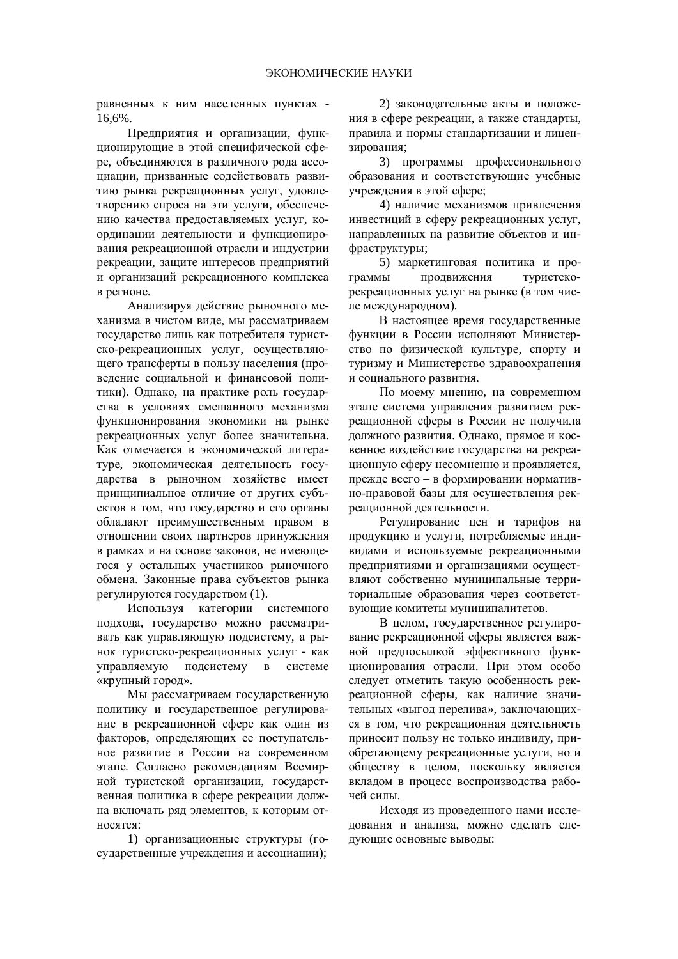равненных к ним населенных пунктах -16,6%.

Предприятия и организации, функционирующие в этой специфической сфере, объединяются в различного рода ассоциации, призванные содействовать развитию рынка рекреационных услуг, удовлетворению спроса на эти услуги, обеспечению качества предоставляемых услуг, координации деятельности и функционирования рекреационной отрасли и индустрии рекреации, защите интересов предприятий и организаций рекреационного комплекса в регионе.

Анализируя действие рыночного механизма в чистом виде, мы рассматриваем государство лишь как потребителя туристско-рекреационных услуг, осуществляющего трансферты в пользу населения (проведение социальной и финансовой политики). Однако, на практике роль государства в условиях смешанного механизма функционирования экономики на рынке рекреационных услуг более значительна. Как отмечается в экономической литературе, экономическая деятельность государства в рыночном хозяйстве имеет принципиальное отличие от других субъектов в том, что государство и его органы обладают преимущественным правом в отношении своих партнеров принуждения в рамках и на основе законов, не имеющегося у остальных участников рыночного обмена. Законные права субъектов рынка регулируются государством (1).

Используя категории системного подхода, государство можно рассматривать как управляющую подсистему, а рынок туристско-рекреационных услуг - как управляемую подсистему в системе «крупный город».

Мы рассматриваем государственную политику и государственное регулирование в рекреационной сфере как один из факторов, определяющих ее поступательное развитие в России на современном этапе. Согласно рекомендациям Всемирной туристской организации, государственная политика в сфере рекреации должна включать ряд элементов, к которым от-HOCSTCS:

1) организационные структуры (государственные учреждения и ассоциации);

2) законодательные акты и положения в сфере рекреации, а также стандарты, правила и нормы станлартизации и лицензирования:

3) программы профессионального образования и соответствующие учебные учреждения в этой сфере;

4) наличие механизмов привлечения инвестиций в сферу рекреационных услуг, направленных на развитие объектов и инфраструктуры;

5) маркетинговая политика и программы продвижения туристскорекреационных услуг на рынке (в том числе международном).

В настоящее время государственные функции в России исполняют Министерство по физической культуре, спорту и туризму и Министерство здравоохранения и социального развития.

По моему мнению, на современном этапе система управления развитием рекреационной сферы в России не получила должного развития. Однако, прямое и косвенное воздействие государства на рекреационную сферу несомненно и проявляется, прежде всего – в формировании нормативно-правовой базы для осуществления рекреационной деятельности.

Регулирование цен и тарифов на продукцию и услуги, потребляемые индивидами и используемые рекреационными предприятиями и организациями осуществляют собственно муниципальные территориальные образования через соответствующие комитеты муниципалитетов.

В целом, государственное регулирование рекреационной сферы является важной предпосылкой эффективного функционирования отрасли. При этом особо слелует отметить такую особенность рекреационной сферы, как наличие значительных «выгод перелива», заключающихся в том, что рекреационная деятельность приносит пользу не только индивиду, приобретающему рекреационные услуги, но и обществу в целом, поскольку является вкладом в процесс воспроизводства рабочей силы.

Исходя из проведенного нами исследования и анализа, можно слелать следующие основные выводы: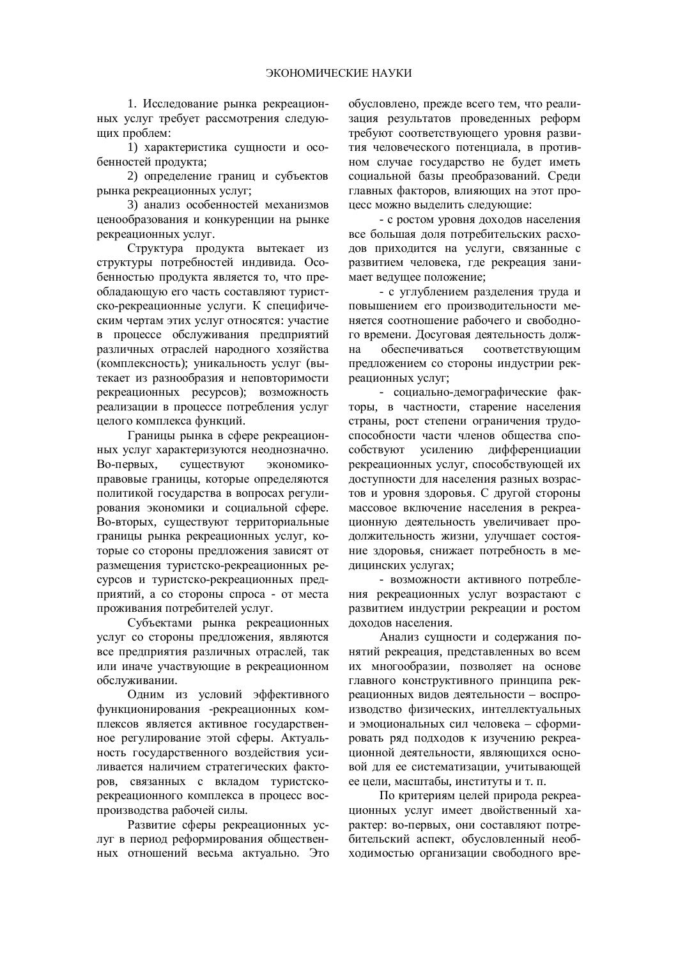1. Исследование рынка рекреационных услуг требует рассмотрения следуюших проблем:

1) характеристика сущности и особенностей продукта;

2) определение границ и субъектов рынка рекреационных услуг;

3) анализ особенностей механизмов ценообразования и конкуренции на рынке рекреационных услуг.

Структура продукта вытекает из структуры потребностей индивида. Особенностью продукта является то, что преобладающую его часть составляют туристско-рекреационные услуги. К специфическим чертам этих услуг относятся: участие в процессе обслуживания предприятий различных отраслей народного хозяйства (комплексность); уникальность услуг (вытекает из разнообразия и неповторимости рекреационных ресурсов); возможность реализации в процессе потребления услуг целого комплекса функций.

Границы рынка в сфере рекреационных услуг характеризуются неоднозначно. Во-первых, существуют экономикоправовые границы, которые определяются политикой государства в вопросах регулирования экономики и социальной сфере. Во-вторых, существуют территориальные границы рынка рекреационных услуг, которые со стороны предложения зависят от размещения туристско-рекреационных ресурсов и туристско-рекреационных предприятий, а со стороны спроса - от места проживания потребителей услуг.

Субъектами рынка рекреационных услуг со стороны предложения, являются все предприятия различных отраслей, так или иначе участвующие в рекреационном обслуживании.

Одним из условий эффективного функционирования -рекреационных комплексов является активное государственное регулирование этой сферы. Актуальность государственного воздействия усиливается наличием стратегических факторов, связанных с вкладом туристскорекреационного комплекса в процесс воспроизводства рабочей силы.

Развитие сферы рекреационных услуг в период реформирования общественных отношений весьма актуально. Это обусловлено, прежде всего тем, что реализация результатов проведенных реформ требуют соответствующего уровня развития человеческого потенциала, в противном случае государство не будет иметь социальной базы преобразований. Среди главных факторов, влияющих на этот процесс можно выделить следующие:

- с ростом уровня доходов населения все большая доля потребительских расходов приходится на услуги, связанные с развитием человека, где рекреация занимает ведущее положение;

- с углублением разделения труда и повышением его производительности меняется соотношение рабочего и свободного времени. Досуговая деятельность должна обеспечиваться соответствующим предложением со стороны индустрии рекреационных услуг;

- социально-демографические факторы, в частности, старение населения страны, рост степени ограничения трудоспособности части членов общества способствуют усилению дифференциации рекреационных услуг, способствующей их доступности для населения разных возрастов и уровня здоровья. С другой стороны массовое включение населения в рекреационную деятельность увеличивает продолжительность жизни, улучшает состояние здоровья, снижает потребность в медицинских услугах;

- возможности активного потребления рекреационных услуг возрастают с развитием индустрии рекреации и ростом доходов населения.

Анализ сущности и содержания понятий рекреация, представленных во всем их многообразии, позволяет на основе главного конструктивного принципа рекреационных видов деятельности – воспроизводство физических, интеллектуальных и эмоциональных сил человека – сформировать ряд подходов к изучению рекреационной деятельности, являющихся основой для ее систематизации, учитывающей ее цели, масштабы, институты и т. п.

По критериям целей природа рекреационных услуг имеет двойственный характер: во-первых, они составляют потребительский аспект, обусловленный необходимостью организации свободного вре-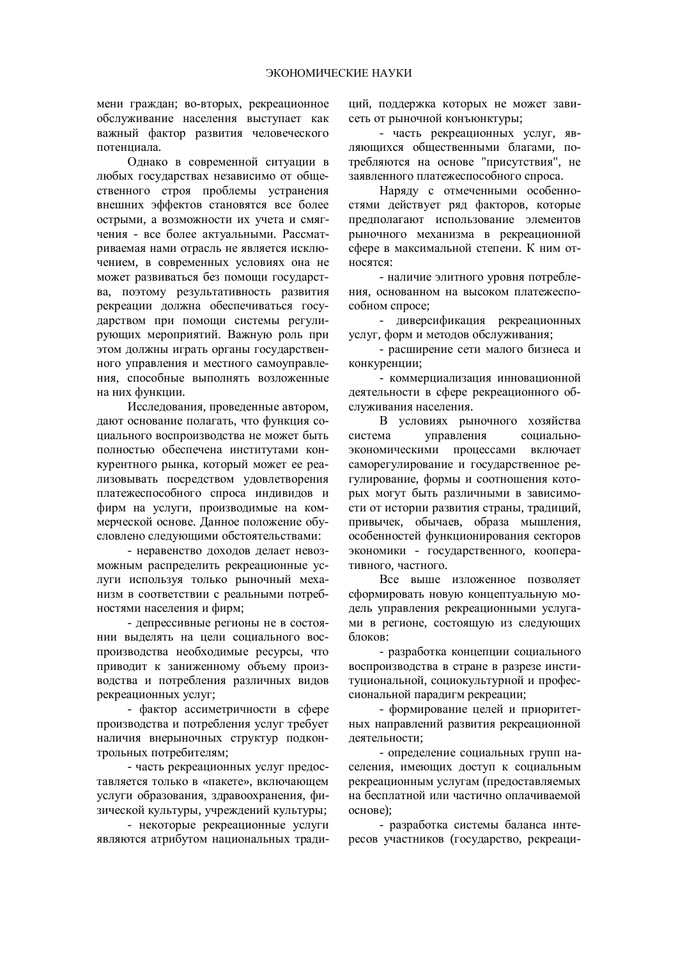мени граждан; во-вторых, рекреационное обслуживание населения выступает как важный фактор развития человеческого потенниала.

Однако в современной ситуации в любых государствах независимо от общественного строя проблемы устранения внешних эффектов становятся все более острыми, а возможности их учета и смягчения - все более актуальными. Рассматриваемая нами отрасль не является исключением, в современных условиях она не может развиваться без помощи государства, поэтому результативность развития рекреации должна обеспечиваться государством при помощи системы регулирующих мероприятий. Важную роль при этом должны играть органы государственного управления и местного самоуправления, способные выполнять возложенные на них функции.

Исследования, проведенные автором, дают основание полагать, что функция социального воспроизводства не может быть полностью обеспечена институтами конкурентного рынка, который может ее реализовывать посредством удовлетворения платежеспособного спроса индивидов и фирм на услуги, производимые на коммерческой основе. Данное положение обусловлено следующими обстоятельствами:

- неравенство доходов делает невозможным распределить рекреационные услуги используя только рыночный механизм в соответствии с реальными потребностями населения и фирм;

- депрессивные регионы не в состоянии выделять на цели социального воспроизводства необходимые ресурсы, что приводит к заниженному объему производства и потребления различных видов рекреационных услуг;

- фактор ассиметричности в сфере производства и потребления услуг требует наличия внерыночных структур подконтрольных потребителям;

- часть рекреационных услуг предоставляется только в «пакете», включающем услуги образования, здравоохранения, физической культуры, учреждений культуры;

- некоторые рекреационные услуги являются атрибутом национальных традиций, поддержка которых не может зависеть от рыночной конъюнктуры;

- часть рекреационных услуг. являющихся общественными благами, потребляются на основе "присутствия", не заявленного платежеспособного спроса.

Наряду с отмеченными особенностями действует ряд факторов, которые предполагают использование элементов рыночного механизма в рекреационной сфере в максимальной степени. К ним относятся:

- наличие элитного уровня потребления, основанном на высоком платежеспособном спросе;

- диверсификация рекреационных услуг, форм и методов обслуживания;

- расширение сети малого бизнеса и конкуренции;

- коммерциализация инновационной деятельности в сфере рекреационного обслуживания населения.

В условиях рыночного хозяйства система управления социальноэкономическими процессами включает саморегулирование и государственное регулирование, формы и соотношения которых могут быть различными в зависимости от истории развития страны, традиций, привычек, обычаев, образа мышления, особенностей функционирования секторов экономики - государственного, кооперативного, частного.

Все выше изложенное позволяет сформировать новую концептуальную модель управления рекреационными услугами в регионе, состоящую из следующих  $6\pi$ <sub>o</sub> $\kappa$ or:

- разработка концепции социального воспроизводства в стране в разрезе инститүшиональной, социокультурной и профессиональной парадигм рекреации;

- формирование целей и приоритетных направлений развития рекреационной деятельности;

- определение социальных групп населения, имеющих доступ к социальным рекреационным услугам (предоставляемых на бесплатной или частично оплачиваемой oснoвe):

- разработка системы баланса интересов участников (государство, рекреаци-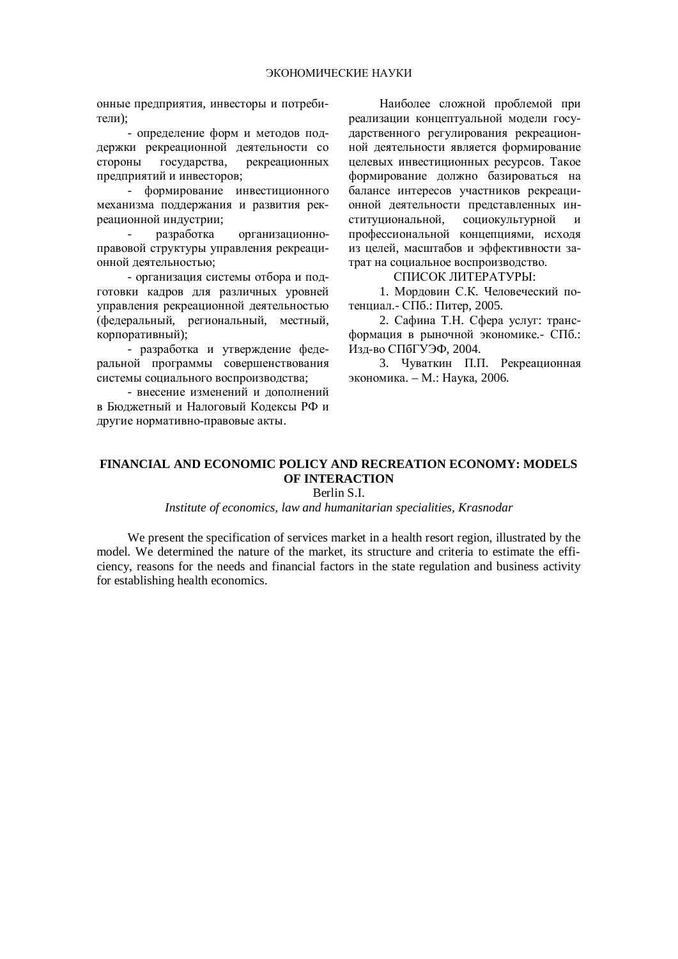онные предприятия, инвесторы и потребители);

- определение форм и методов поддержки рекреационной деятельности со стороны государства, рекреационных предприятий и инвесторов;

- формирование инвестиционного механизма поддержания и развития рекреационной индустрии;

разработка организационноправовой структуры управления рекреационной деятельностью;

- организация системы отбора и подготовки кадров для различных уровней управления рекреационной деятельностью (федеральный, региональный, местный, корпоративный);

- разработка и утверждение федеральной программы совершенствования системы социального воспроизводства;

- внесение изменений и дополнений в Бюлжетный и Налоговый Колексы РФ и другие нормативно-правовые акты.

Наиболее сложной проблемой при реализации концептуальной модели госуларственного регулирования рекреационной леятельности является формирование целевых инвестиционных ресурсов. Такое формирование должно базироваться на балансе интересов участников рекреационной деятельности представленных институциональной, социокультурной и профессиональной концепциями, исходя из целей, масштабов и эффективности затрат на социальное воспроизводство.

#### СПИСОК ЛИТЕРАТУРЫ:

1. Мордовин С.К. Человеческий потенциал.- СПб.: Питер, 2005.

2. Сафина Т.Н. Сфера услуг: трансформация в рыночной экономике.- СПб.: Изд-во СПбГУЭФ, 2004.

3. Чуваткин П.П. Рекреационная экономика. – М.: Наука, 2006.

## **FINANCIAL AND ECONOMIC POLICY AND RECREATION ECONOMY: MODELS OF INTERACTION**

Berlin S.I.

#### *Institute of economics, law and humanitarian specialities, Krasnodar*

We present the specification of services market in a health resort region, illustrated by the model. We determined the nature of the market, its structure and criteria to estimate the efficiency, reasons for the needs and financial factors in the state regulation and business activity for establishing health economics.